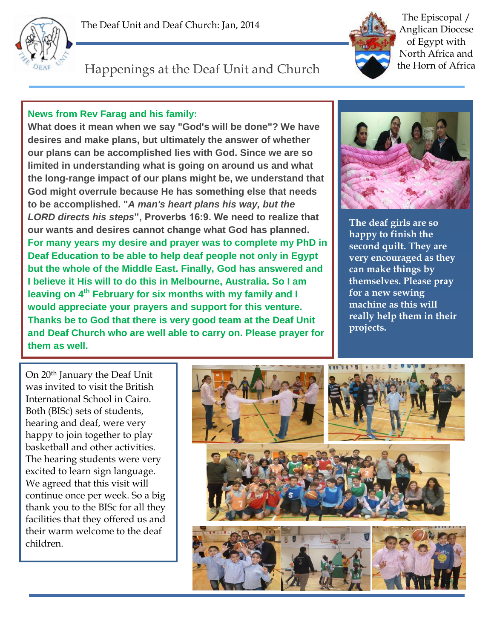



The Episcopal / Anglican Diocese of Egypt with North Africa and the Horn of Africa

## Happenings at the Deaf Unit and Church

## **News from Rev Farag and his family:**

**What does it mean when we say "God's will be done"? We have desires and make plans, but ultimately the answer of whether our plans can be accomplished lies with God. Since we are so limited in understanding what is going on around us and what the long-range impact of our plans might be, we understand that God might overrule because He has something else that needs to be accomplished. "***A man's heart plans his way, but the LORD directs his steps***", Proverbs 16:9. We need to realize that our wants and desires cannot change what God has planned. For many years my desire and prayer was to complete my PhD in Deaf Education to be able to help deaf people not only in Egypt but the whole of the Middle East. Finally, God has answered and I believe it His will to do this in Melbourne, Australia. So I am leaving on 4th February for six months with my family and I would appreciate your prayers and support for this venture. Thanks be to God that there is very good team at the Deaf Unit and Deaf Church who are well able to carry on. Please prayer for them as well.**



**The deaf girls are so happy to finish the second quilt. They are very encouraged as they can make things by themselves. Please pray for a new sewing machine as this will really help them in their projects.**

On 20th January the Deaf Unit was invited to visit the British International School in Cairo. Both (BISc) sets of students, hearing and deaf, were very happy to join together to play basketball and other activities. The hearing students were very excited to learn sign language. We agreed that this visit will continue once per week. So a big thank you to the BISc for all they facilities that they offered us and their warm welcome to the deaf children.